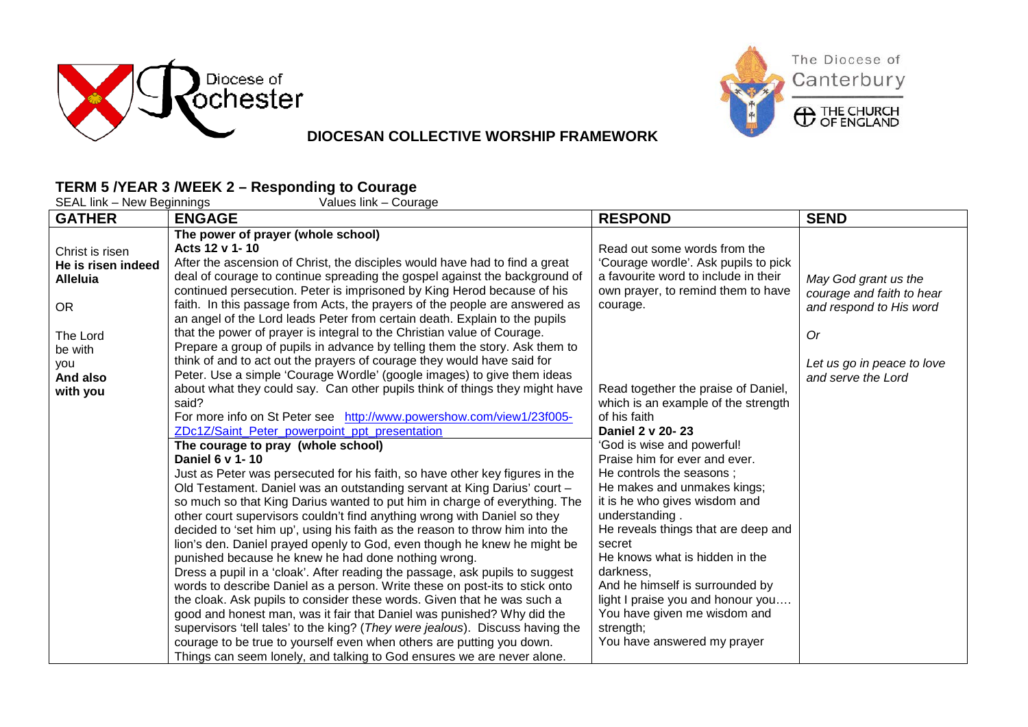



## **DIOCESAN COLLECTIVE WORSHIP FRAMEWORK**

## **TERM 5 /YEAR 3 /WEEK 2 – Responding to Courage**

| SEAL link – New Beginnings<br>Values link – Courage                                                                                |                                                                                                                                                                                                                                                                                                                                                                                                                                                                                                                                                                                                                                                                                                                                                                                                                                                                                                                                                                                                                                                                                                                                                                                                                                                                                                                                                                                                                                                                                                                                                                                                                                                                                                                                                                                                                                                                                                                                                                                                                                                                            |                                                                                                                                                                                                                                                                                                                                                                                                                                                                                                                                                                                                                                                                                                                    |                                                                                                                                        |  |
|------------------------------------------------------------------------------------------------------------------------------------|----------------------------------------------------------------------------------------------------------------------------------------------------------------------------------------------------------------------------------------------------------------------------------------------------------------------------------------------------------------------------------------------------------------------------------------------------------------------------------------------------------------------------------------------------------------------------------------------------------------------------------------------------------------------------------------------------------------------------------------------------------------------------------------------------------------------------------------------------------------------------------------------------------------------------------------------------------------------------------------------------------------------------------------------------------------------------------------------------------------------------------------------------------------------------------------------------------------------------------------------------------------------------------------------------------------------------------------------------------------------------------------------------------------------------------------------------------------------------------------------------------------------------------------------------------------------------------------------------------------------------------------------------------------------------------------------------------------------------------------------------------------------------------------------------------------------------------------------------------------------------------------------------------------------------------------------------------------------------------------------------------------------------------------------------------------------------|--------------------------------------------------------------------------------------------------------------------------------------------------------------------------------------------------------------------------------------------------------------------------------------------------------------------------------------------------------------------------------------------------------------------------------------------------------------------------------------------------------------------------------------------------------------------------------------------------------------------------------------------------------------------------------------------------------------------|----------------------------------------------------------------------------------------------------------------------------------------|--|
| <b>GATHER</b>                                                                                                                      | <b>ENGAGE</b>                                                                                                                                                                                                                                                                                                                                                                                                                                                                                                                                                                                                                                                                                                                                                                                                                                                                                                                                                                                                                                                                                                                                                                                                                                                                                                                                                                                                                                                                                                                                                                                                                                                                                                                                                                                                                                                                                                                                                                                                                                                              | <b>RESPOND</b>                                                                                                                                                                                                                                                                                                                                                                                                                                                                                                                                                                                                                                                                                                     | <b>SEND</b>                                                                                                                            |  |
| Christ is risen<br>He is risen indeed<br><b>Alleluia</b><br><b>OR</b><br>The Lord<br>be with<br><b>VOU</b><br>And also<br>with you | The power of prayer (whole school)<br>Acts 12 v 1-10<br>After the ascension of Christ, the disciples would have had to find a great<br>deal of courage to continue spreading the gospel against the background of<br>continued persecution. Peter is imprisoned by King Herod because of his<br>faith. In this passage from Acts, the prayers of the people are answered as<br>an angel of the Lord leads Peter from certain death. Explain to the pupils<br>that the power of prayer is integral to the Christian value of Courage.<br>Prepare a group of pupils in advance by telling them the story. Ask them to<br>think of and to act out the prayers of courage they would have said for<br>Peter. Use a simple 'Courage Wordle' (google images) to give them ideas<br>about what they could say. Can other pupils think of things they might have<br>said?<br>For more info on St Peter see http://www.powershow.com/view1/23f005-<br>ZDc1Z/Saint_Peter_powerpoint_ppt_presentation<br>The courage to pray (whole school)<br>Daniel 6 v 1-10<br>Just as Peter was persecuted for his faith, so have other key figures in the<br>Old Testament. Daniel was an outstanding servant at King Darius' court -<br>so much so that King Darius wanted to put him in charge of everything. The<br>other court supervisors couldn't find anything wrong with Daniel so they<br>decided to 'set him up', using his faith as the reason to throw him into the<br>lion's den. Daniel prayed openly to God, even though he knew he might be<br>punished because he knew he had done nothing wrong.<br>Dress a pupil in a 'cloak'. After reading the passage, ask pupils to suggest<br>words to describe Daniel as a person. Write these on post-its to stick onto<br>the cloak. Ask pupils to consider these words. Given that he was such a<br>good and honest man, was it fair that Daniel was punished? Why did the<br>supervisors 'tell tales' to the king? (They were jealous). Discuss having the<br>courage to be true to yourself even when others are putting you down. | Read out some words from the<br>'Courage wordle'. Ask pupils to pick<br>a favourite word to include in their<br>own prayer, to remind them to have<br>courage.<br>Read together the praise of Daniel,<br>which is an example of the strength<br>of his faith<br>Daniel 2 v 20-23<br>'God is wise and powerful!<br>Praise him for ever and ever.<br>He controls the seasons ;<br>He makes and unmakes kings;<br>it is he who gives wisdom and<br>understanding.<br>He reveals things that are deep and<br>secret<br>He knows what is hidden in the<br>darkness,<br>And he himself is surrounded by<br>light I praise you and honour you<br>You have given me wisdom and<br>strength;<br>You have answered my prayer | May God grant us the<br>courage and faith to hear<br>and respond to His word<br>0r<br>Let us go in peace to love<br>and serve the Lord |  |
|                                                                                                                                    | Things can seem lonely, and talking to God ensures we are never alone.                                                                                                                                                                                                                                                                                                                                                                                                                                                                                                                                                                                                                                                                                                                                                                                                                                                                                                                                                                                                                                                                                                                                                                                                                                                                                                                                                                                                                                                                                                                                                                                                                                                                                                                                                                                                                                                                                                                                                                                                     |                                                                                                                                                                                                                                                                                                                                                                                                                                                                                                                                                                                                                                                                                                                    |                                                                                                                                        |  |